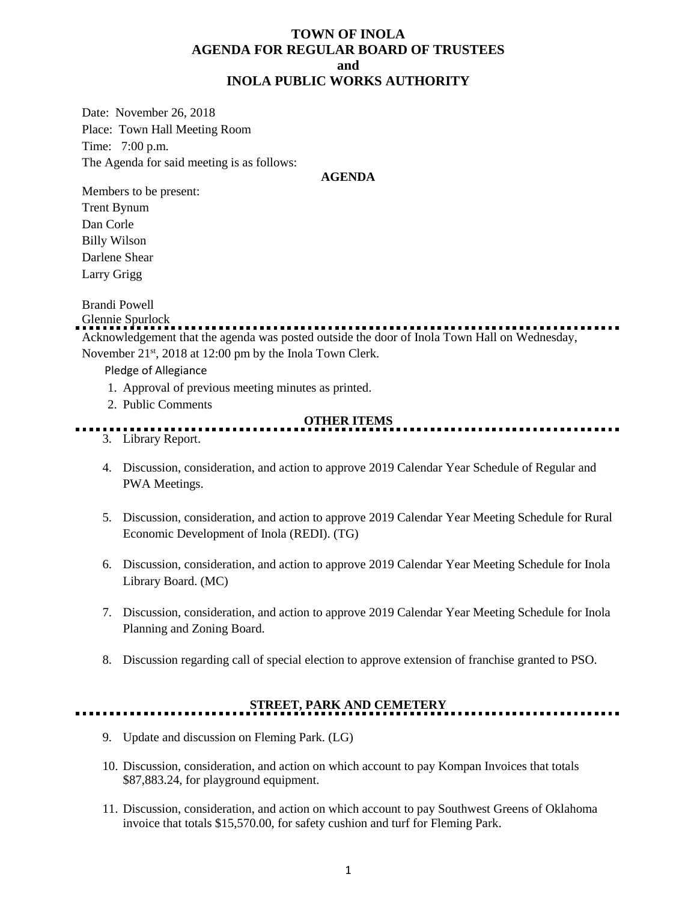## **TOWN OF INOLA AGENDA FOR REGULAR BOARD OF TRUSTEES and INOLA PUBLIC WORKS AUTHORITY**

Date: November 26, 2018 Place: Town Hall Meeting Room Time: 7:00 p.m. The Agenda for said meeting is as follows:

#### **AGENDA**

Members to be present: Trent Bynum Dan Corle Billy Wilson Darlene Shear

Larry Grigg

## Brandi Powell

### Glennie Spurlock

Acknowledgement that the agenda was posted outside the door of Inola Town Hall on Wednesday, November 21<sup>st</sup>, 2018 at 12:00 pm by the Inola Town Clerk.

Pledge of Allegiance

- 1. Approval of previous meeting minutes as printed.
- 2. Public Comments

#### **OTHER ITEMS**

- 3. Library Report.
- 4. Discussion, consideration, and action to approve 2019 Calendar Year Schedule of Regular and PWA Meetings.
- 5. Discussion, consideration, and action to approve 2019 Calendar Year Meeting Schedule for Rural Economic Development of Inola (REDI). (TG)
- 6. Discussion, consideration, and action to approve 2019 Calendar Year Meeting Schedule for Inola Library Board. (MC)
- 7. Discussion, consideration, and action to approve 2019 Calendar Year Meeting Schedule for Inola Planning and Zoning Board.
- 8. Discussion regarding call of special election to approve extension of franchise granted to PSO.

# **STREET, PARK AND CEMETERY**

- 9. Update and discussion on Fleming Park. (LG)
- 10. Discussion, consideration, and action on which account to pay Kompan Invoices that totals \$87,883.24, for playground equipment.
- 11. Discussion, consideration, and action on which account to pay Southwest Greens of Oklahoma invoice that totals \$15,570.00, for safety cushion and turf for Fleming Park.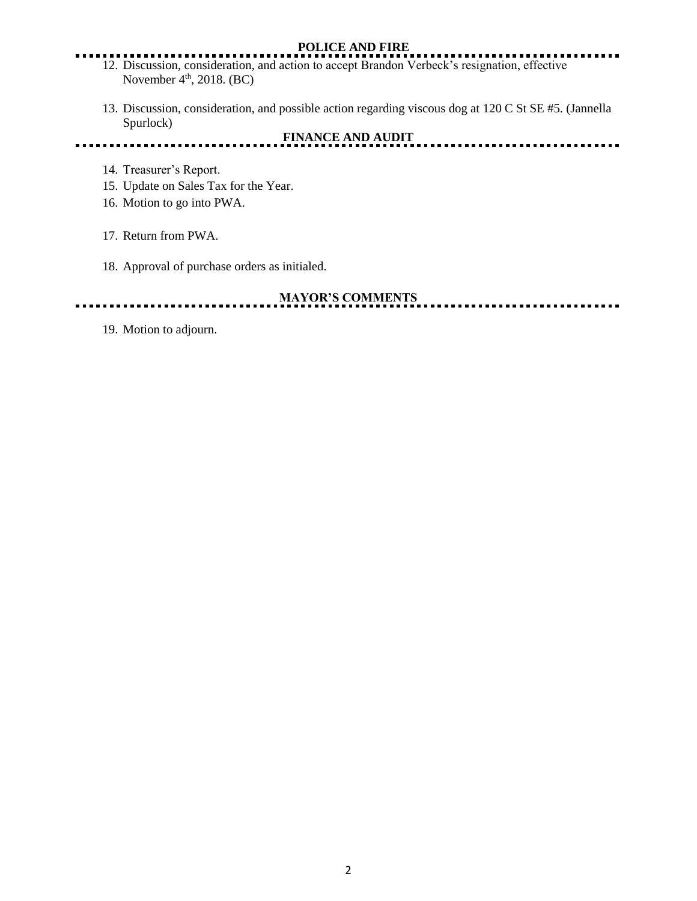#### **POLICE AND FIRE**

- 12. Discussion, consideration, and action to accept Brandon Verbeck's resignation, effective November  $4<sup>th</sup>$ , 2018. (BC)
	- 13. Discussion, consideration, and possible action regarding viscous dog at 120 C St SE #5. (Jannella Spurlock)

**FINANCE AND AUDIT** . . . . . . . . . . . . . . . . . . . . . . . . . .

- 14. Treasurer's Report.
- 15. Update on Sales Tax for the Year.
- 16. Motion to go into PWA.
- 17. Return from PWA.
- 18. Approval of purchase orders as initialed.

# **MAYOR'S COMMENTS**

19. Motion to adjourn.